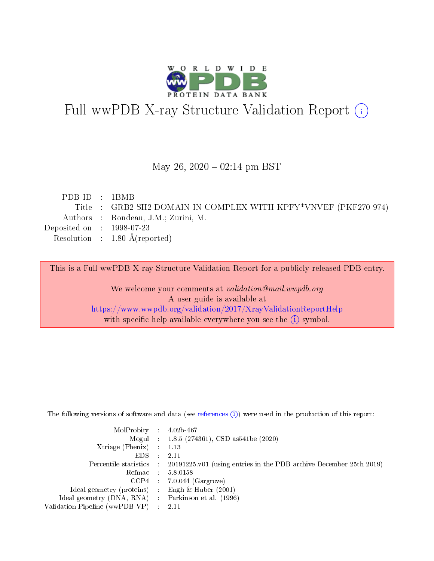

# Full wwPDB X-ray Structure Validation Report (i)

#### May 26,  $2020 - 02:14$  pm BST

| PDBID : 1BMB                |                                                                 |
|-----------------------------|-----------------------------------------------------------------|
|                             | Title : GRB2-SH2 DOMAIN IN COMPLEX WITH KPFY*VNVEF (PKF270-974) |
|                             | Authors : Rondeau, J.M.; Zurini, M.                             |
| Deposited on : $1998-07-23$ |                                                                 |
|                             | Resolution : $1.80 \text{ Å}$ (reported)                        |
|                             |                                                                 |

This is a Full wwPDB X-ray Structure Validation Report for a publicly released PDB entry.

We welcome your comments at validation@mail.wwpdb.org A user guide is available at <https://www.wwpdb.org/validation/2017/XrayValidationReportHelp> with specific help available everywhere you see the  $(i)$  symbol.

The following versions of software and data (see [references](https://www.wwpdb.org/validation/2017/XrayValidationReportHelp#references)  $(1)$ ) were used in the production of this report:

| $MolProbability$ : 4.02b-467                        |                                                                                              |
|-----------------------------------------------------|----------------------------------------------------------------------------------------------|
|                                                     | Mogul : 1.8.5 (274361), CSD as 541 be (2020)                                                 |
| Xtriage (Phenix) $: 1.13$                           |                                                                                              |
| $EDS$ :                                             | -2.11                                                                                        |
|                                                     | Percentile statistics : $20191225.v01$ (using entries in the PDB archive December 25th 2019) |
| Refmac : 5.8.0158                                   |                                                                                              |
|                                                     | $CCP4$ : 7.0.044 (Gargrove)                                                                  |
| Ideal geometry (proteins) :                         | Engh $\&$ Huber (2001)                                                                       |
| Ideal geometry (DNA, RNA) : Parkinson et al. (1996) |                                                                                              |
| Validation Pipeline (wwPDB-VP) : 2.11               |                                                                                              |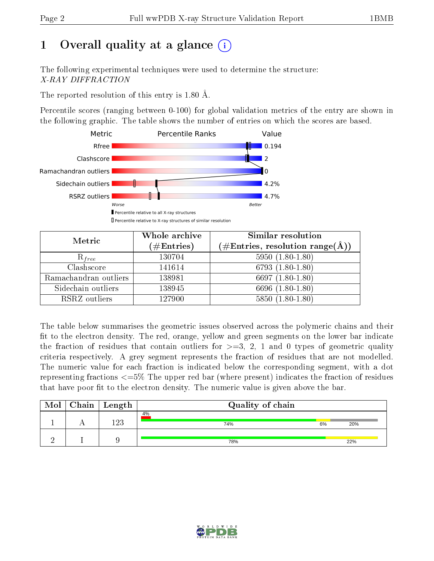## 1 [O](https://www.wwpdb.org/validation/2017/XrayValidationReportHelp#overall_quality)verall quality at a glance  $(i)$

The following experimental techniques were used to determine the structure: X-RAY DIFFRACTION

The reported resolution of this entry is 1.80 Å.

Percentile scores (ranging between 0-100) for global validation metrics of the entry are shown in the following graphic. The table shows the number of entries on which the scores are based.



| Metric                | Whole archive<br>$(\#\mathrm{Entries})$ | Similar resolution<br>$(\#\text{Entries}, \text{resolution range}(\textup{\AA}))$ |  |  |
|-----------------------|-----------------------------------------|-----------------------------------------------------------------------------------|--|--|
| $R_{free}$            | 130704                                  | $5950(1.80-1.80)$                                                                 |  |  |
| Clashscore            | 141614                                  | 6793 $(1.80-1.80)$                                                                |  |  |
| Ramachandran outliers | 138981                                  | 6697 $(1.80-1.80)$                                                                |  |  |
| Sidechain outliers    | 138945                                  | 6696 (1.80-1.80)                                                                  |  |  |
| RSRZ outliers         | 127900                                  | $5850(1.80-1.80)$                                                                 |  |  |

The table below summarises the geometric issues observed across the polymeric chains and their fit to the electron density. The red, orange, yellow and green segments on the lower bar indicate the fraction of residues that contain outliers for  $>=3, 2, 1$  and 0 types of geometric quality criteria respectively. A grey segment represents the fraction of residues that are not modelled. The numeric value for each fraction is indicated below the corresponding segment, with a dot representing fractions  $\epsilon=5\%$  The upper red bar (where present) indicates the fraction of residues that have poor fit to the electron density. The numeric value is given above the bar.

| Mol | ${\rm Chain \mid Length}$ | Quality of chain |    |     |  |  |  |
|-----|---------------------------|------------------|----|-----|--|--|--|
|     | 192                       | 4%<br>74%        | 6% | 20% |  |  |  |
|     |                           | 78%              |    | 22% |  |  |  |

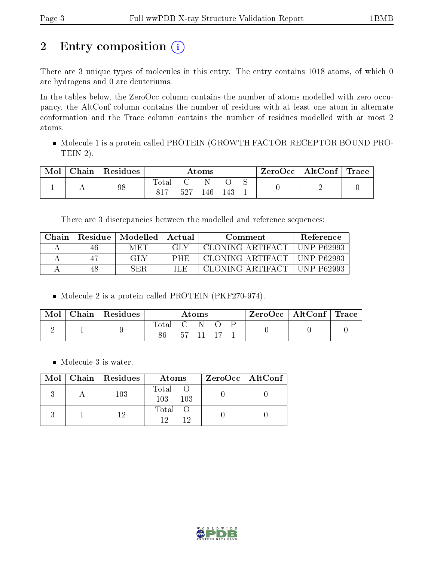# 2 Entry composition (i)

There are 3 unique types of molecules in this entry. The entry contains 1018 atoms, of which 0 are hydrogens and 0 are deuteriums.

In the tables below, the ZeroOcc column contains the number of atoms modelled with zero occupancy, the AltConf column contains the number of residues with at least one atom in alternate conformation and the Trace column contains the number of residues modelled with at most 2 atoms.

 Molecule 1 is a protein called PROTEIN (GROWTH FACTOR RECEPTOR BOUND PRO-TEIN 2).

| Mol | $\cap$ hain | Residues | Atoms              |     |     | ZeroOcc | $\vert$ AltConf $\vert$ Trace $\vert$ |  |  |  |
|-----|-------------|----------|--------------------|-----|-----|---------|---------------------------------------|--|--|--|
|     |             | 98       | $\tau_{\rm{otai}}$ | 527 | 146 |         |                                       |  |  |  |

There are 3 discrepancies between the modelled and reference sequences:

| Chain | <b>Residue</b> | $Modelled \parallel$ |      | Comment           | <b>Reference</b>   |
|-------|----------------|----------------------|------|-------------------|--------------------|
|       | 40             | MET                  | GLY  | CLONING ARTIFACT  | $+$ UNP P62993     |
|       |                | GLY                  | PHE  | CLONING ARTIFACT  | $+$ UNP P62993     |
|       | 48             | SER                  | II.E | CLONING ARTIFACT. | P62993<br>` TINP . |

Molecule 2 is a protein called PROTEIN (PKF270-974).

| Mol | $\perp$ Chain   Residues | Atoms       |      |           | ZeroOcc   AltConf   Trace |  |  |
|-----|--------------------------|-------------|------|-----------|---------------------------|--|--|
|     |                          | Total C N O |      |           |                           |  |  |
|     |                          | 86          | 57 - | - 11 - 17 |                           |  |  |

Molecule 3 is water.

|  | Mol   Chain   Residues | Atoms                 | ZeroOcc   AltConf |
|--|------------------------|-----------------------|-------------------|
|  | 103                    | Total O<br>103<br>103 |                   |
|  |                        | Total O<br>19         |                   |

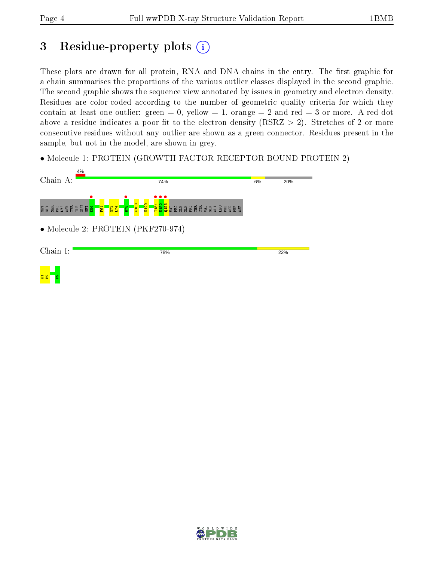## 3 Residue-property plots  $(i)$

These plots are drawn for all protein, RNA and DNA chains in the entry. The first graphic for a chain summarises the proportions of the various outlier classes displayed in the second graphic. The second graphic shows the sequence view annotated by issues in geometry and electron density. Residues are color-coded according to the number of geometric quality criteria for which they contain at least one outlier: green  $= 0$ , yellow  $= 1$ , orange  $= 2$  and red  $= 3$  or more. A red dot above a residue indicates a poor fit to the electron density (RSRZ  $> 2$ ). Stretches of 2 or more consecutive residues without any outlier are shown as a green connector. Residues present in the sample, but not in the model, are shown in grey.

• Molecule 1: PROTEIN (GROWTH FACTOR RECEPTOR BOUND PROTEIN 2)



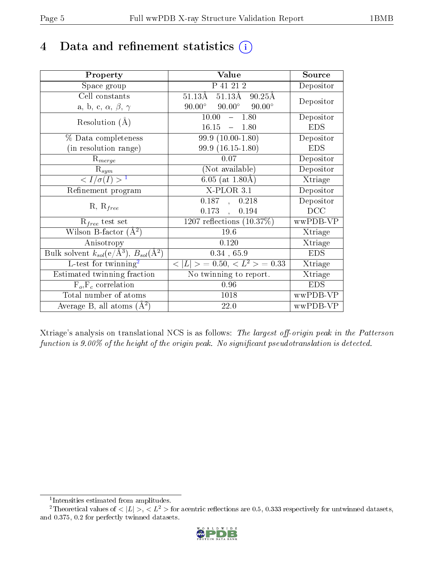## 4 Data and refinement statistics  $(i)$

| Property                                                             | Value                                                    | Source                       |
|----------------------------------------------------------------------|----------------------------------------------------------|------------------------------|
| Space group                                                          | P 41 21 2                                                | Depositor                    |
| Cell constants                                                       | $51.13\text{\AA}$ $51.13\text{\AA}$<br>$90.25\text{\AA}$ | Depositor                    |
| a, b, c, $\alpha$ , $\beta$ , $\gamma$                               | $90.00^\circ$<br>$90.00^\circ$<br>$90.00^{\circ}$        |                              |
| Resolution $(A)$                                                     | 10.00<br>1.80<br>$\equiv$                                | Depositor                    |
|                                                                      | 16.15<br>$-1.80$                                         | <b>EDS</b>                   |
| % Data completeness                                                  | $99.9(10.00-1.80)$                                       | Depositor                    |
| (in resolution range)                                                | $99.9(16.15-1.80)$                                       | <b>EDS</b>                   |
| $R_{merge}$                                                          | 0.07                                                     | Depositor                    |
| $R_{sym}$                                                            | (Not available)                                          | Depositor                    |
| $\langle I/\sigma(I) \rangle^{-1}$                                   | $6.05$ (at 1.80Å)                                        | Xtriage                      |
| Refinement program                                                   | $X$ -PLOR $3.1$                                          | Depositor                    |
|                                                                      | 0.187, 0.218                                             | Depositor                    |
| $R, R_{free}$                                                        | $0.173$ ,<br>0.194                                       | DCC                          |
| $R_{free}$ test set                                                  | 1207 reflections $(10.37\%)$                             | wwPDB-VP                     |
| Wilson B-factor $(A^2)$                                              | $19.6\,$                                                 | Xtriage                      |
| Anisotropy                                                           | 0.120                                                    | Xtriage                      |
| Bulk solvent $k_{sol}(e/\mathring{A}^3)$ , $B_{sol}(\mathring{A}^2)$ | 0.34, 65.9                                               | <b>EDS</b>                   |
| L-test for twinning <sup>2</sup>                                     | $< L >$ = 0.50, $< L2$ > = 0.33                          | Xtriage                      |
| Estimated twinning fraction                                          | No twinning to report.                                   | $\overline{\text{X}}$ triage |
| $\overline{F_o}, \overline{F_c}$ correlation                         | 0.96                                                     | <b>EDS</b>                   |
| Total number of atoms                                                | 1018                                                     | wwPDB-VP                     |
| Average B, all atoms $(A^2)$                                         | 22.0                                                     | wwPDB-VP                     |

Xtriage's analysis on translational NCS is as follows: The largest off-origin peak in the Patterson function is  $9.00\%$  of the height of the origin peak. No significant pseudotranslation is detected.

<sup>&</sup>lt;sup>2</sup>Theoretical values of  $\langle |L| \rangle$ ,  $\langle L^2 \rangle$  for acentric reflections are 0.5, 0.333 respectively for untwinned datasets, and 0.375, 0.2 for perfectly twinned datasets.



<span id="page-4-1"></span><span id="page-4-0"></span><sup>1</sup> Intensities estimated from amplitudes.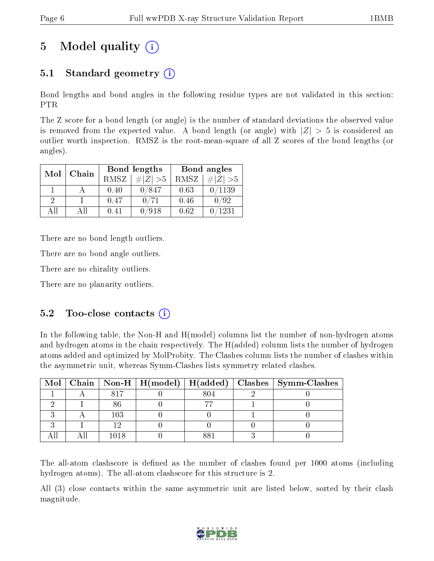## 5 Model quality  $(i)$

### 5.1 Standard geometry (i)

Bond lengths and bond angles in the following residue types are not validated in this section: PTR

The Z score for a bond length (or angle) is the number of standard deviations the observed value is removed from the expected value. A bond length (or angle) with  $|Z| > 5$  is considered an outlier worth inspection. RMSZ is the root-mean-square of all Z scores of the bond lengths (or angles).

| Mol | Chain |             | Bond lengths | Bond angles |                 |  |
|-----|-------|-------------|--------------|-------------|-----------------|--|
|     |       | <b>RMSZ</b> | $\# Z  > 5$  | RMSZ        | $\ Z\  > 5$     |  |
|     |       | 0.40        | 0/847        | 0.63        | $^{\prime}1139$ |  |
| 9   |       | 0.47        | 0/71         | 0.46        | 0/92            |  |
|     | ΔH    | 0.41        | /918         | 0.62        | 1231            |  |

There are no bond length outliers.

There are no bond angle outliers.

There are no chirality outliers.

There are no planarity outliers.

#### $5.2$  Too-close contacts  $(i)$

In the following table, the Non-H and H(model) columns list the number of non-hydrogen atoms and hydrogen atoms in the chain respectively. The H(added) column lists the number of hydrogen atoms added and optimized by MolProbity. The Clashes column lists the number of clashes within the asymmetric unit, whereas Symm-Clashes lists symmetry related clashes.

|  |     |     | Mol   Chain   Non-H   H(model)   H(added)   Clashes   Symm-Clashes |
|--|-----|-----|--------------------------------------------------------------------|
|  |     | 804 |                                                                    |
|  |     |     |                                                                    |
|  | 103 |     |                                                                    |
|  |     |     |                                                                    |
|  |     |     |                                                                    |

The all-atom clashscore is defined as the number of clashes found per 1000 atoms (including hydrogen atoms). The all-atom clashscore for this structure is 2.

All (3) close contacts within the same asymmetric unit are listed below, sorted by their clash magnitude.

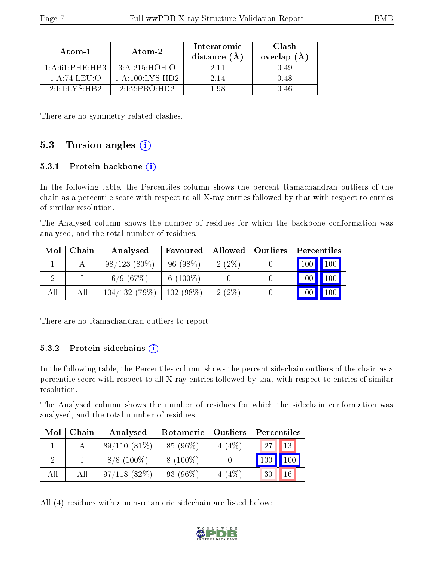| Atom-1                        | Atom-2                      | Interatomic<br>distance $(A)$ | Clash<br>overlap $(A)$ |
|-------------------------------|-----------------------------|-------------------------------|------------------------|
| $1:$ A $:$ 61 $:$ PHE $:$ HB3 | 3: A:215:HOH:O              | 2 11                          |                        |
| 1: A:74:LEU:                  | $1:$ A:100:LYS:HD2          | 2 14                          | 0.48                   |
| $2111$ $N$ S $\cdot$ HR $2$   | $2.1.2$ PRO HD <sub>2</sub> | - 98                          |                        |

There are no symmetry-related clashes.

#### 5.3 Torsion angles  $(i)$

#### 5.3.1 Protein backbone  $(i)$

In the following table, the Percentiles column shows the percent Ramachandran outliers of the chain as a percentile score with respect to all X-ray entries followed by that with respect to entries of similar resolution.

The Analysed column shows the number of residues for which the backbone conformation was analysed, and the total number of residues.

| Mol | ${\bf Chain}$ | Analysed       | Favoured    | Allowed  | Outliers |                     | Percentiles |
|-----|---------------|----------------|-------------|----------|----------|---------------------|-------------|
|     |               | $98/123(80\%)$ | 96(98%)     | $2(2\%)$ |          | $\vert$ 100 $\vert$ | 100         |
|     |               | 6/9(67%)       | 6 $(100\%)$ |          |          | 100                 | 100         |
| All | All           | 104/132(79%)   | $102(98\%)$ | $2(2\%)$ |          | 100                 | 100         |

There are no Ramachandran outliers to report.

#### 5.3.2 Protein sidechains  $(i)$

In the following table, the Percentiles column shows the percent sidechain outliers of the chain as a percentile score with respect to all X-ray entries followed by that with respect to entries of similar resolution.

The Analysed column shows the number of residues for which the sidechain conformation was analysed, and the total number of residues.

| Mol | Chain | Analysed       | Rotameric  | $\vert$ Outliers | Percentiles     |     |
|-----|-------|----------------|------------|------------------|-----------------|-----|
|     |       | $89/110(81\%)$ | 85 (96%)   | $4(4\%)$         | 27 <sub>1</sub> | 13  |
|     |       | $8/8$ (100\%)  | $8(100\%)$ |                  | 100             | 100 |
| All | Αll   | 97/118(82%)    | 93 (96%)   | 4(4%)            | 30              | 16  |

All (4) residues with a non-rotameric sidechain are listed below:

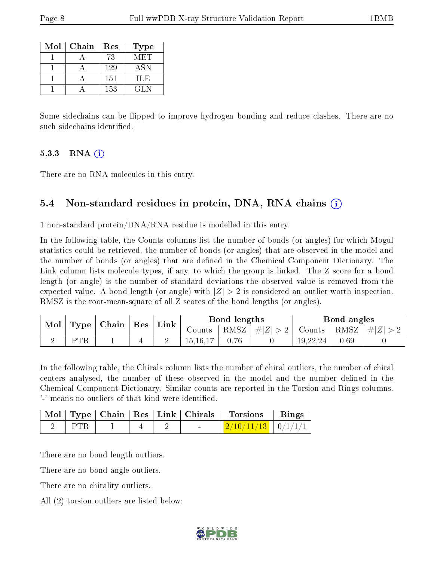| Mol | Chain | Res | Type |
|-----|-------|-----|------|
|     |       | 73  | MET. |
|     |       | 129 | ASN  |
|     |       | 151 | ILE  |
|     |       | 153 | GL N |

Some sidechains can be flipped to improve hydrogen bonding and reduce clashes. There are no such sidechains identified.

#### 5.3.3 RNA  $(i)$

There are no RNA molecules in this entry.

#### 5.4 Non-standard residues in protein, DNA, RNA chains (i)

1 non-standard protein/DNA/RNA residue is modelled in this entry.

In the following table, the Counts columns list the number of bonds (or angles) for which Mogul statistics could be retrieved, the number of bonds (or angles) that are observed in the model and the number of bonds (or angles) that are defined in the Chemical Component Dictionary. The Link column lists molecule types, if any, to which the group is linked. The Z score for a bond length (or angle) is the number of standard deviations the observed value is removed from the expected value. A bond length (or angle) with  $|Z| > 2$  is considered an outlier worth inspection. RMSZ is the root-mean-square of all Z scores of the bond lengths (or angles).

| Mol | Type | $ $ Chain $ $ Res $ $ | $^{\shortmid}$ Link | Bond lengths |  |                    | Bond angles   |      |               |
|-----|------|-----------------------|---------------------|--------------|--|--------------------|---------------|------|---------------|
|     |      |                       |                     | Counts       |  | RMSZ   $\# Z  > 2$ | Counts   RMSZ |      | $\perp \# Z $ |
|     | PTR  |                       |                     | 15, 16, 17   |  |                    | 19,22,24      | 0.69 |               |

In the following table, the Chirals column lists the number of chiral outliers, the number of chiral centers analysed, the number of these observed in the model and the number defined in the Chemical Component Dictionary. Similar counts are reported in the Torsion and Rings columns. '-' means no outliers of that kind were identified.

|  |  |  | Mol   Type   Chain   Res   Link   Chirals   Torsions   Rings |  |
|--|--|--|--------------------------------------------------------------|--|
|  |  |  | $\frac{2}{10/11/13}$   0/1/1/1                               |  |

There are no bond length outliers.

There are no bond angle outliers.

There are no chirality outliers.

All (2) torsion outliers are listed below:

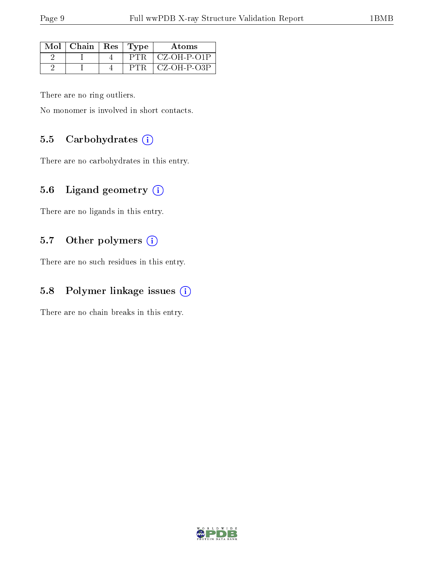| Mol | $\mid$ Chain $\mid$ Res $\mid$ Type |       | Atoms          |
|-----|-------------------------------------|-------|----------------|
|     |                                     | P'I'R | CZ-OH-P-O1P    |
|     |                                     |       | $CZ$ -OH-P-O3P |

There are no ring outliers.

No monomer is involved in short contacts.

#### 5.5 Carbohydrates  $(i)$

There are no carbohydrates in this entry.

#### 5.6 Ligand geometry (i)

There are no ligands in this entry.

#### 5.7 [O](https://www.wwpdb.org/validation/2017/XrayValidationReportHelp#nonstandard_residues_and_ligands)ther polymers (i)

There are no such residues in this entry.

#### 5.8 Polymer linkage issues  $(i)$

There are no chain breaks in this entry.

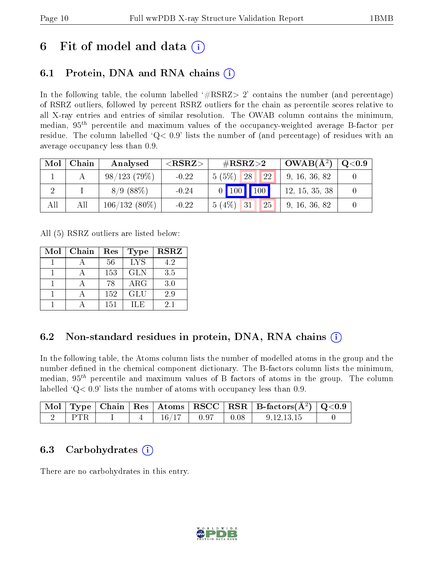## 6 Fit of model and data  $\left( \cdot \right)$

### 6.1 Protein, DNA and RNA chains (i)

In the following table, the column labelled  $#RSRZ>2'$  contains the number (and percentage) of RSRZ outliers, followed by percent RSRZ outliers for the chain as percentile scores relative to all X-ray entries and entries of similar resolution. The OWAB column contains the minimum, median,  $95<sup>th</sup>$  percentile and maximum values of the occupancy-weighted average B-factor per residue. The column labelled  $Q< 0.9$  lists the number of (and percentage) of residues with an average occupancy less than 0.9.

| Mol | Chain | Analysed        | ${ <\hspace{-1.5pt}{\mathrm{RSRZ}} \hspace{-1.5pt}>}$ | $\#\text{RSRZ}\text{>2}$               | $OWAB(A^2)$    | $\rm Q\textcolor{black}{<}0.9$ |
|-----|-------|-----------------|-------------------------------------------------------|----------------------------------------|----------------|--------------------------------|
|     |       | 98/123(79%)     | $-0.22$                                               | <b>22</b><br>$5(5\%)$<br><sup>28</sup> | 9, 16, 36, 82  |                                |
|     |       | 8/9(88%)        | $-0.24$                                               | $0$ 100 100                            | 12, 15, 35, 38 |                                |
| All | All   | $106/132(80\%)$ | $-0.22$                                               | 5(4%)<br>25<br>31                      | 9, 16, 36, 82  |                                |

All (5) RSRZ outliers are listed below:

| Mol | Chain | Res | <b>Type</b> | <b>RSRZ</b> |
|-----|-------|-----|-------------|-------------|
|     |       | 56  | <b>LYS</b>  | 4.2         |
|     |       | 153 | <b>GLN</b>  | 3.5         |
|     |       | 78  | ARG         | 3.0         |
|     |       | 152 | <b>GLU</b>  | 2.9         |
|     |       | 151 | H.E         | 2.1         |

### 6.2 Non-standard residues in protein, DNA, RNA chains  $(i)$

In the following table, the Atoms column lists the number of modelled atoms in the group and the number defined in the chemical component dictionary. The B-factors column lists the minimum, median,  $95<sup>th</sup>$  percentile and maximum values of B factors of atoms in the group. The column labelled  $Q < 0.9$ ' lists the number of atoms with occupancy less than 0.9.

|  |  |       |              |      | $\vert$ Mol $\vert$ Type $\vert$ Chain $\vert$ Res $\vert$ Atoms $\vert$ RSCC $\vert$ RSR $\vert$ B-factors(A <sup>2</sup> ) $\vert$ Q<0.9 |  |
|--|--|-------|--------------|------|--------------------------------------------------------------------------------------------------------------------------------------------|--|
|  |  | 16/17 | $\vert$ 0.97 | 0.08 | 9, 12, 13, 15                                                                                                                              |  |

### 6.3 Carbohydrates (i)

There are no carbohydrates in this entry.